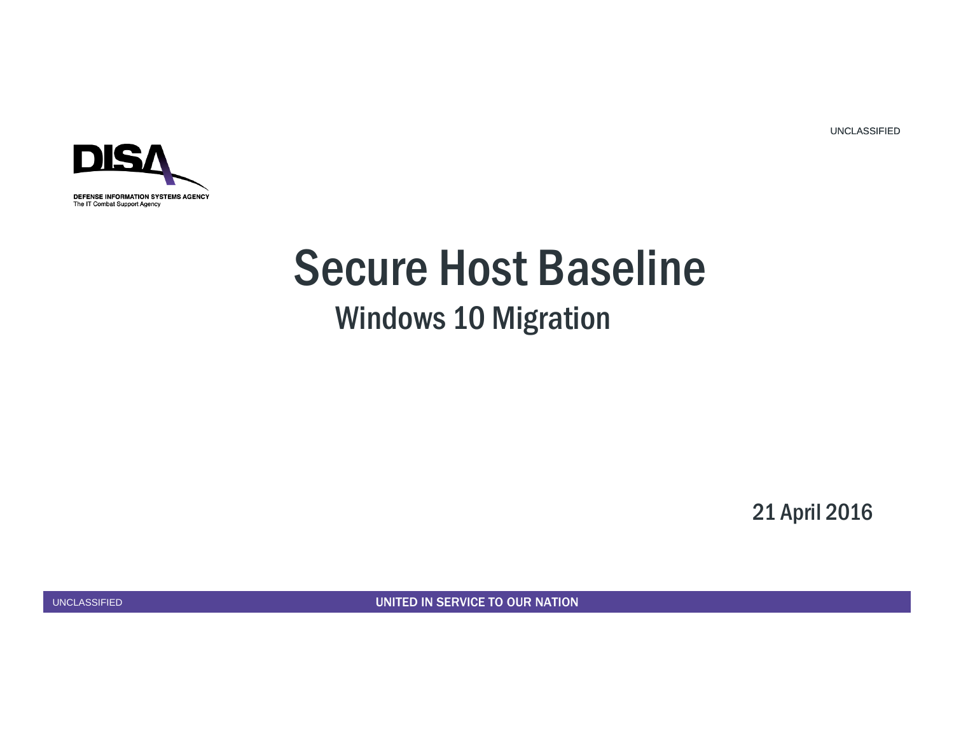

# Secure Host Baseline

### Windows 10 Migration

21 April 2016

UNCLASSIFIED

1 UNITED IN SERVICE TO OUR NATION UNITED IN SERVICE TO OUR NATION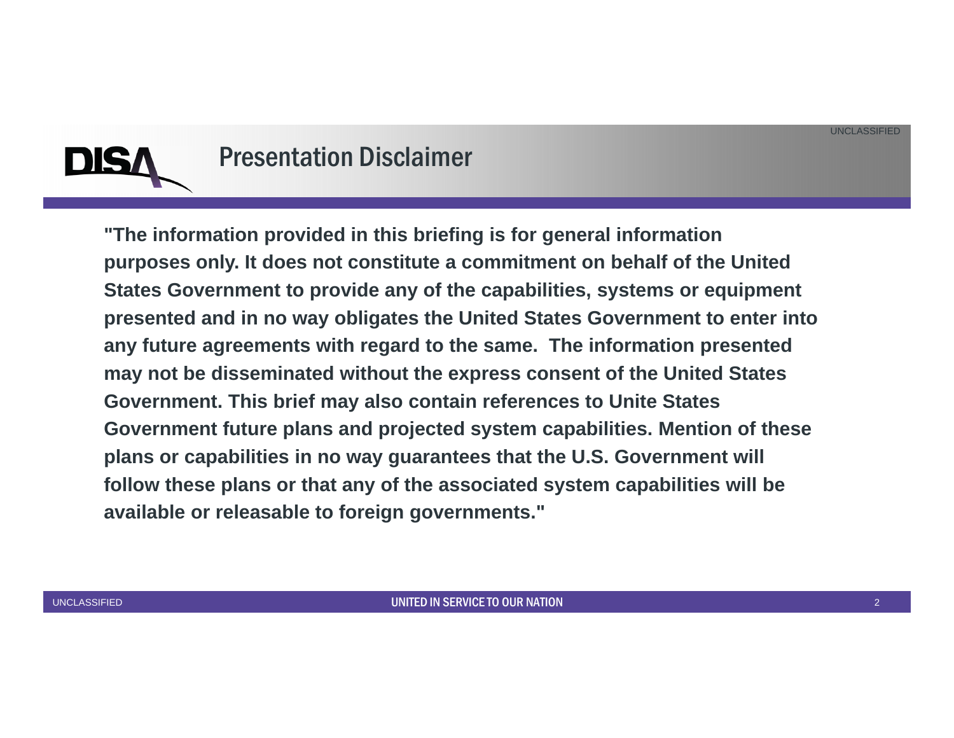

#### Presentation Disclaimer

**"The information provided in this briefing is for general information purposes only. It does not constitute a commitment on behalf of the United States Government to provide any of the capabilities, systems or equipment presented and in no way obligates the United States Government to enter into any future agreements with regard to the same. The information presented may not be disseminated without the express consent of the United States Government. This brief may also contain references to Unite States Government future plans and projected system capabilities. Mention of these plans or capabilities in no way guarantees that the U.S. Government will follow these plans or that any of the associated system capabilities will be available or releasable to foreign governments."**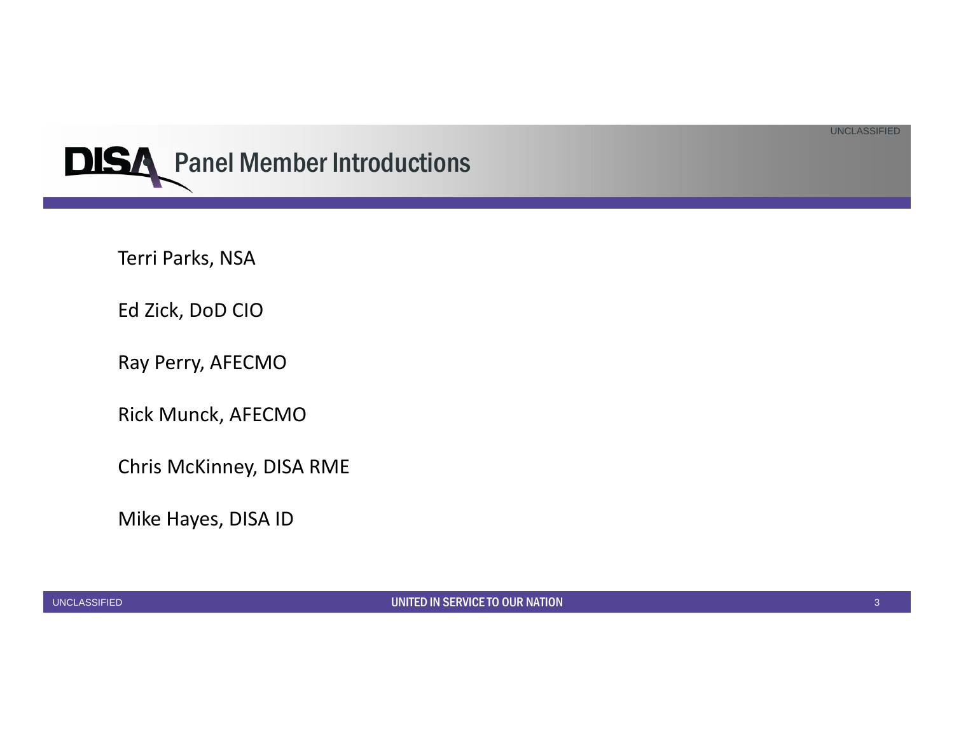

Terri Parks, NSA

Ed Zick, DoD CIO

Ray Perry, AFECMO

Rick Munck, AFECMO

Chris McKinney, DISA RME

Mike Hayes, DISA ID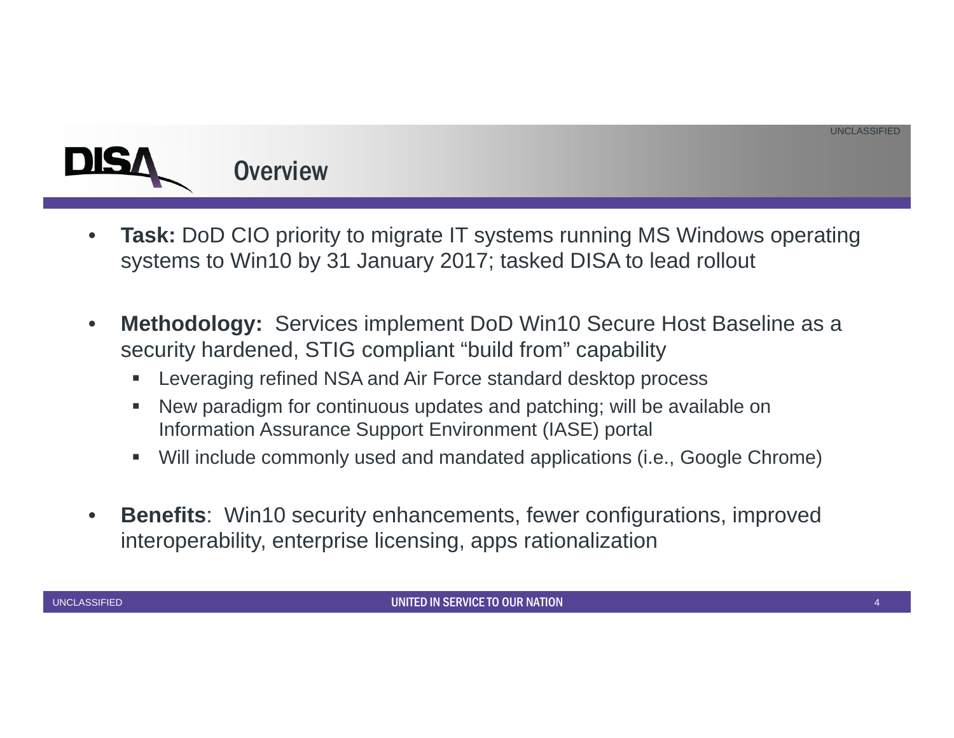# **Overview**

- •**Task:** DoD CIO priority to migrate IT systems running MS Windows operating systems to Win10 by 31 January 2017; tasked DISA to lead rollout
- $\bullet$  **Methodology:** Services implement DoD Win10 Secure Host Baseline as a security hardened, STIG compliant "build from" capability
	- I. Leveraging refined NSA and Air Force standard desktop process
	- I. New paradigm for continuous updates and patching; will be available on Information Assurance Support Environment (IASE) portal
	- $\blacksquare$ Will include commonly used and mandated applications (i.e., Google Chrome)
- $\bullet$  **Benefits**: Win10 security enhancements, fewer configurations, improved interoperability, enterprise licensing, apps rationalization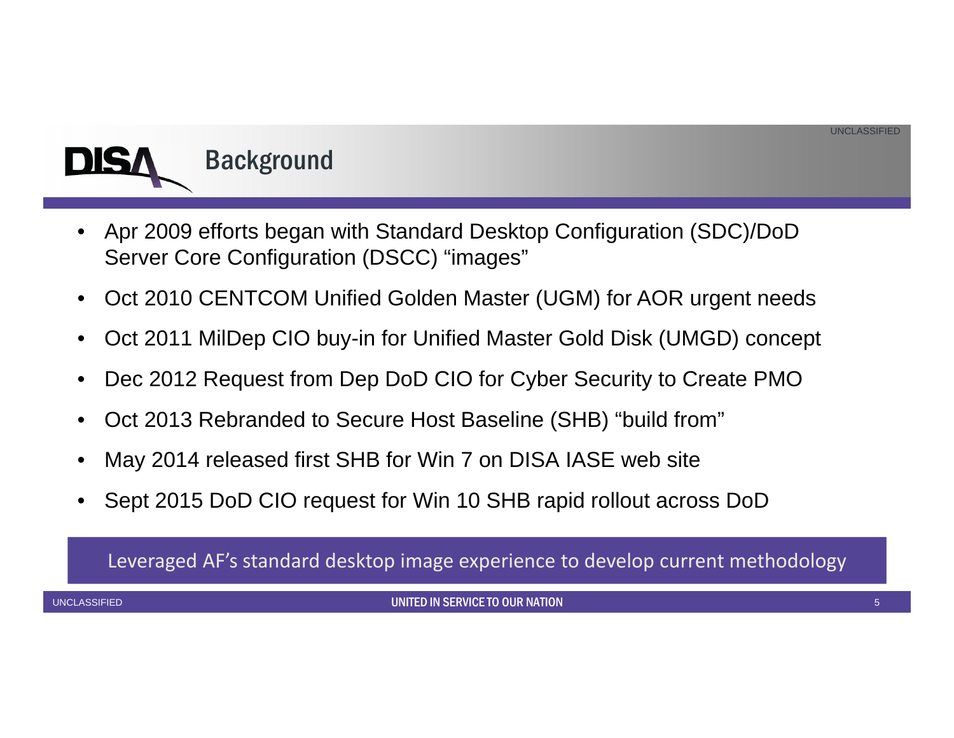

- • Apr 2009 efforts began with Standard Desktop Configuration (SDC)/DoD Server Core Configuration (DSCC) "images"
- •Oct 2010 CENTCOM Unified Golden Master (UGM) for AOR urgent needs
- •Oct 2011 MilDep CIO buy-in for Unified Master Gold Disk (UMGD) concept
- •Dec 2012 Request from Dep DoD CIO for Cyber Security to Create PMO
- •Oct 2013 Rebranded to Secure Host Baseline (SHB) "build from"
- •May 2014 released first SHB for Win 7 on DISA IASE web site
- •Sept 2015 DoD CIO request for Win 10 SHB rapid rollout across DoD

Leveraged AF's standard desktop image experience to develop current methodology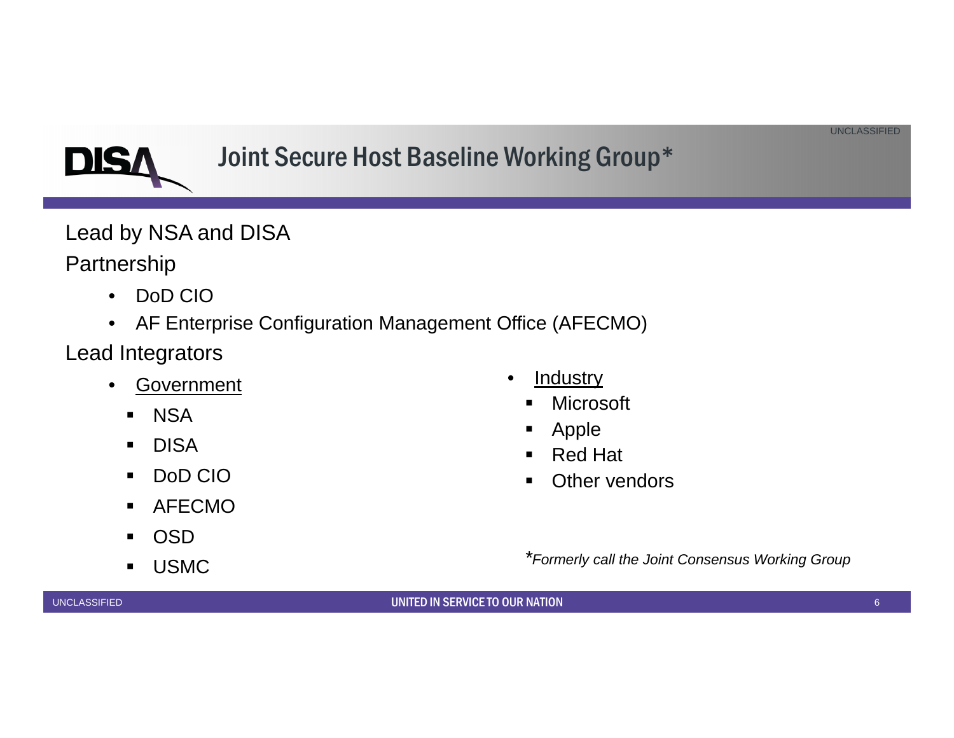# Joint Secure Host Baseline Working Group\*

Lead by NSA and DISA

Partnership

DIS

- $\bullet$ DoD CIO
- AF Enterprise Configuration Management Office (AFECMO)
- Lead Integrators
	- $\bullet$  Government
		- NSA
		- $\blacksquare$ DISA
		- $\blacksquare$ DoD CIO
		- $\blacksquare$ AFECMO
		- $\blacksquare$ OSD
		- USMC
- •**Industry** 
	- Microsoft
	- $\blacksquare$ Apple
	- $\blacksquare$ Red Hat
	- **•** Other vendors
	- *\*Formerly call the Joint Consensus Working Group*

UNCLASSIFIED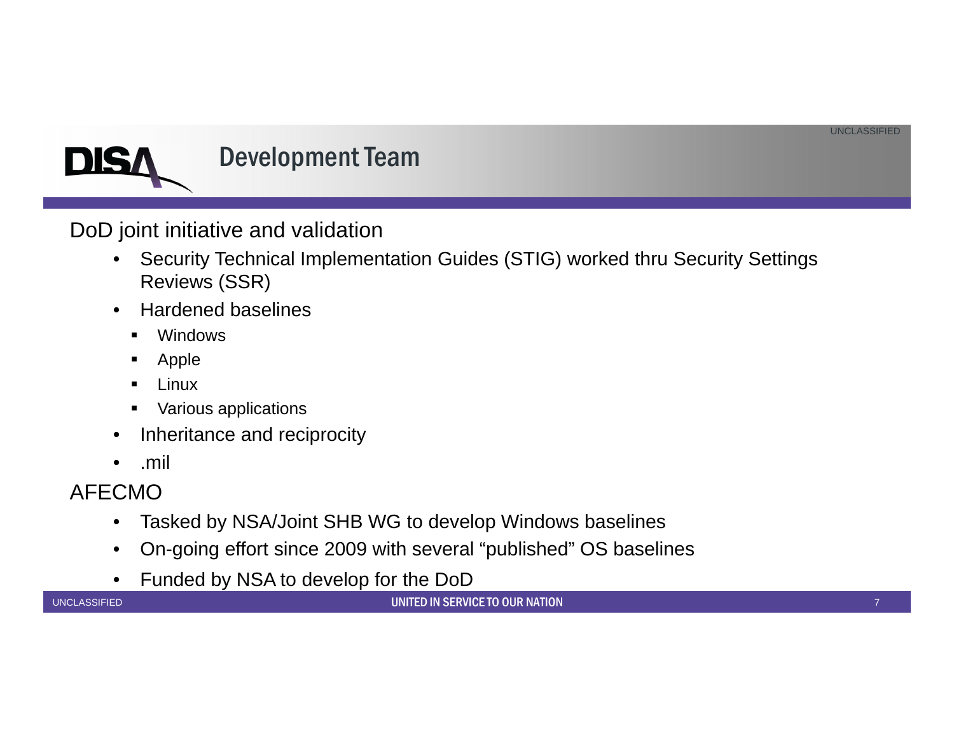

DoD joint initiative and validation

- $\bullet$  Security Technical Implementation Guides (STIG) worked thru Security Settings Reviews (SSR)
- • Hardened baselines
	- $\blacksquare$ Windows
	- Apple
	- Linux
	- Various applications
- $\bullet$ Inheritance and reciprocity
- $\bullet$ .mil

#### AFECMO

- $\bullet$ Tasked by NSA/Joint SHB WG to develop Windows baselines
- $\bullet$ On-going effort since 2009 with several "published" OS baselines
- $\bullet$ Funded by NSA to develop for the DoD

UNCLASSIFIED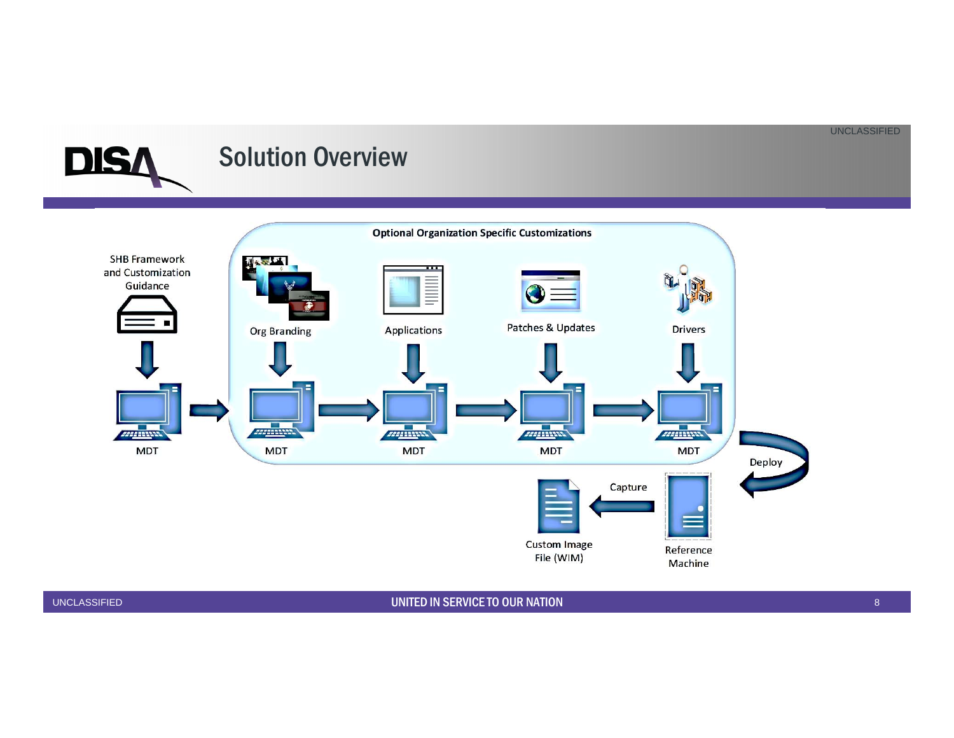#### Solution Overview



**DIS**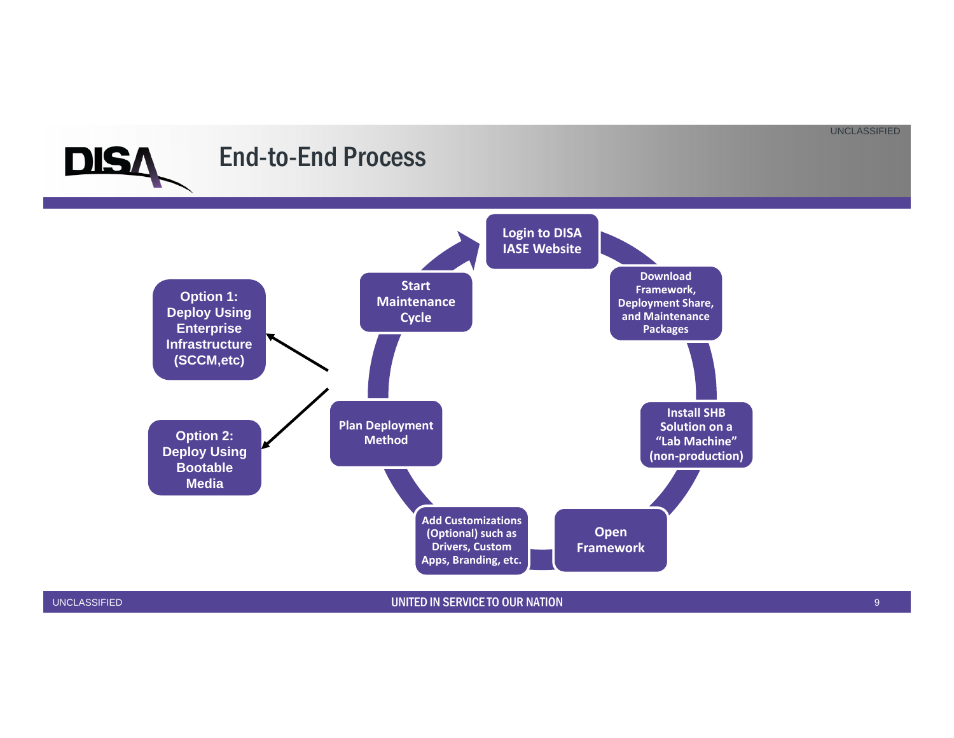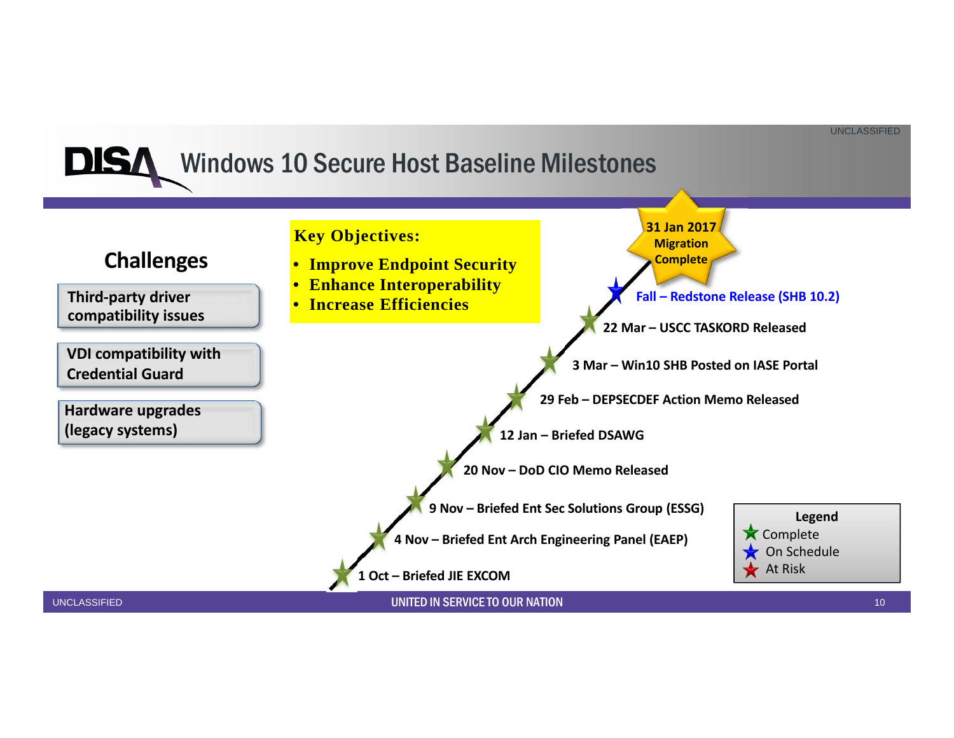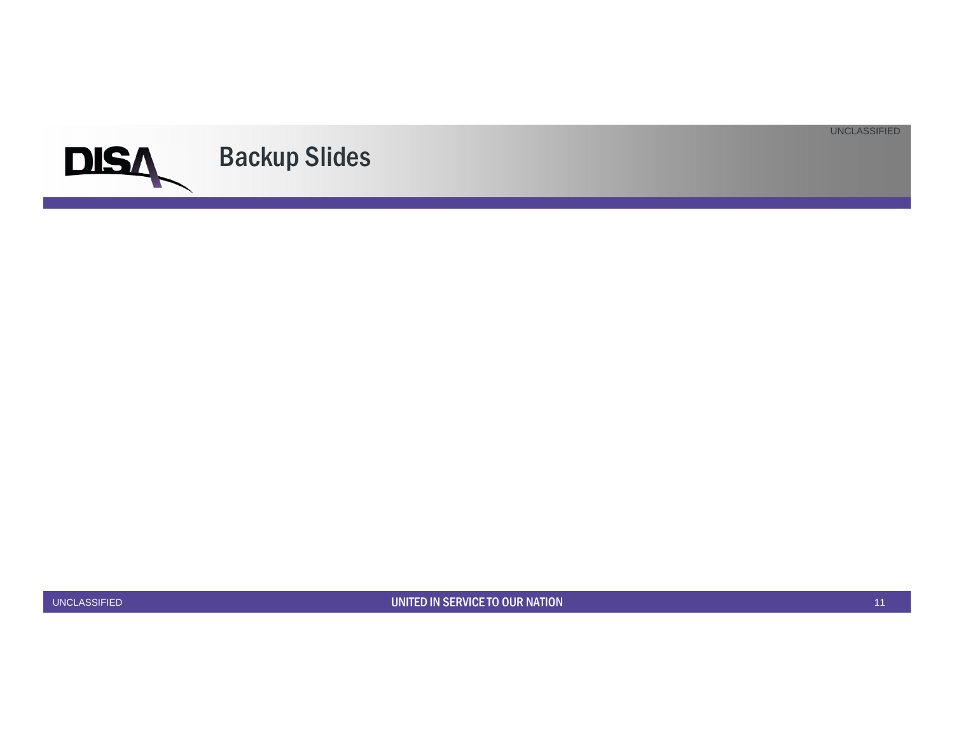

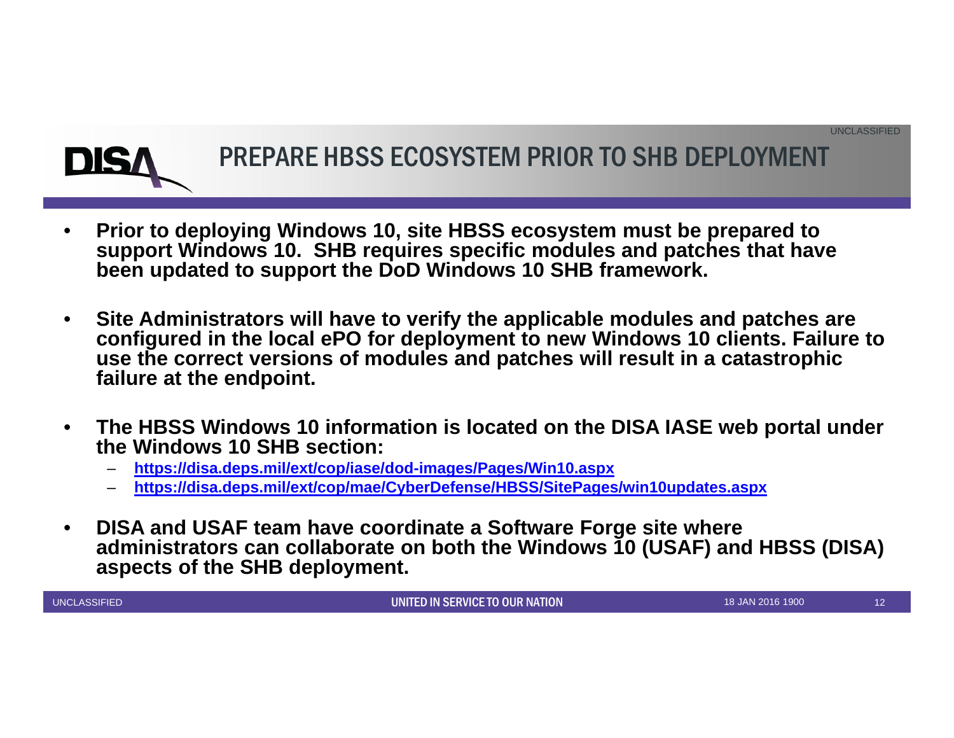

# PREPARE HBSS ECOSYSTEM PRIOR TO SHB DEPLOYMENT

- • **Prior to deploying Windows 10, site HBSS ecosystem must be prepared to support Windows 10. SHB requires specific modules and patches that have been updated to support the DoD Windows 10 SHB framework.**
- • **Site Administrators will have to verify the applicable modules and patches are configured in the local ePO for deployment to new Windows 10 clients. Failure to use the correct versions of modules and patches will result in a catastrophic failure at the endpoint.**
- • **The HBSS Windows 10 information is located on the DISA IASE web portal under the Windows 10 SHB section:**
	- **https://disa.deps.mil/ext/cop/iase/dod-images/Pages/Win10.aspx**
	- **https://disa.deps.mil/ext/cop/mae/CyberDefense/HBSS/SitePages/win10updates.aspx**
- • **DISA and USAF team have coordinate a Software Forge site where administrators can collaborate on both the Windows 10 (USAF) and HBSS (DISA) aspects of the SHB deployment.**

UNCLASSIFIED

12 UNITED IN SERVICE TO OUR NATION

18 JAN 2016 1900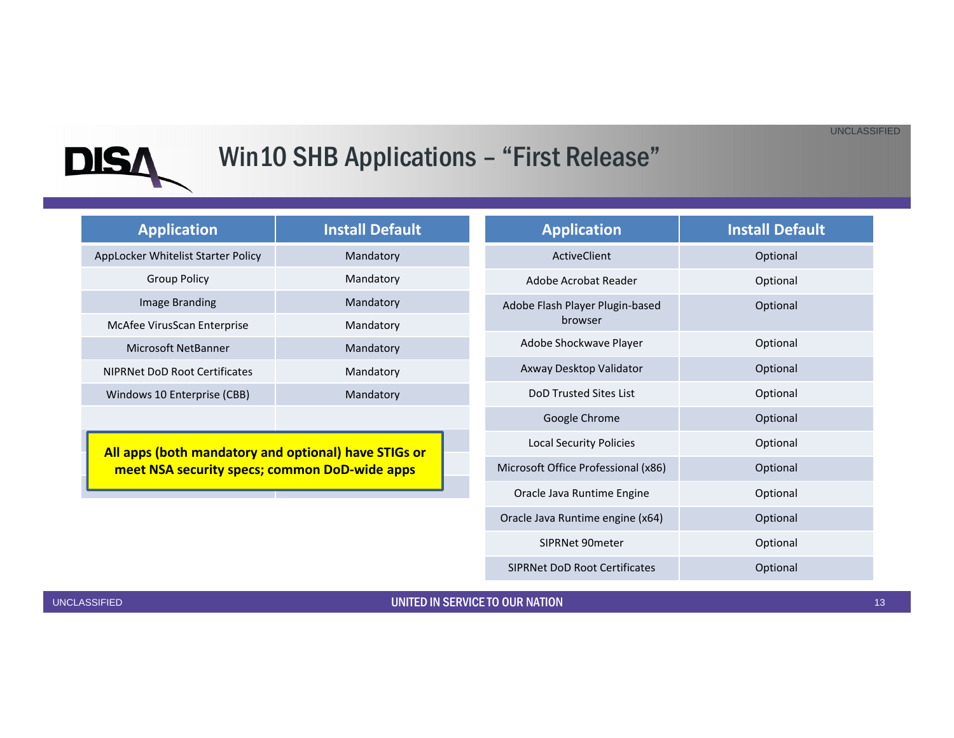

# Win10 SHB Applications - "First Release"

| <b>Application</b>                                                                                    | <b>Install Default</b> | <b>Application</b>                                     | <b>Install Default</b> |
|-------------------------------------------------------------------------------------------------------|------------------------|--------------------------------------------------------|------------------------|
| AppLocker Whitelist Starter Policy                                                                    | Mandatory              | <b>ActiveClient</b>                                    | Optional               |
| <b>Group Policy</b>                                                                                   | Mandatory              | Adobe Acrobat Reader                                   | Optional               |
| Image Branding                                                                                        | Mandatory              | Adobe Flash Player Plugin-based<br>Optional<br>browser |                        |
| McAfee VirusScan Enterprise                                                                           | Mandatory              |                                                        |                        |
| Microsoft NetBanner                                                                                   | Mandatory              | Adobe Shockwave Player                                 | Optional               |
| <b>NIPRNet DoD Root Certificates</b>                                                                  | Mandatory              | Axway Desktop Validator                                | Optional               |
| Windows 10 Enterprise (CBB)                                                                           | Mandatory              | DoD Trusted Sites List                                 | Optional               |
|                                                                                                       |                        | Google Chrome                                          | Optional               |
| All apps (both mandatory and optional) have STIGs or<br>meet NSA security specs; common DoD-wide apps |                        | <b>Local Security Policies</b>                         | Optional               |
|                                                                                                       |                        | Microsoft Office Professional (x86)                    | Optional               |
|                                                                                                       |                        | Oracle Java Runtime Engine                             | Optional               |
|                                                                                                       |                        | Oracle Java Runtime engine (x64)                       | Optional               |
|                                                                                                       |                        | SIPRNet 90meter                                        | Optional               |
|                                                                                                       |                        | <b>SIPRNet DoD Root Certificates</b>                   | Optional               |

UNCLASSIFIED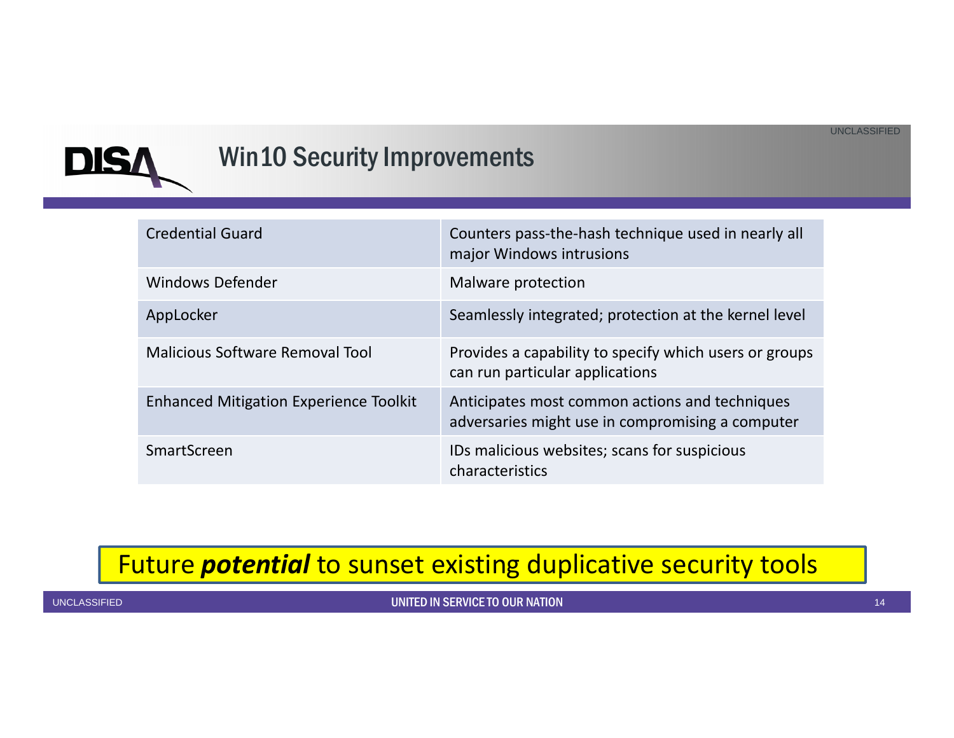

### Win10 Security Improvements

| <b>Credential Guard</b>                       | Counters pass-the-hash technique used in nearly all<br>major Windows intrusions                    |
|-----------------------------------------------|----------------------------------------------------------------------------------------------------|
| Windows Defender                              | Malware protection                                                                                 |
| AppLocker                                     | Seamlessly integrated; protection at the kernel level                                              |
| Malicious Software Removal Tool               | Provides a capability to specify which users or groups<br>can run particular applications          |
| <b>Enhanced Mitigation Experience Toolkit</b> | Anticipates most common actions and techniques<br>adversaries might use in compromising a computer |
| SmartScreen                                   | IDs malicious websites; scans for suspicious<br>characteristics                                    |

#### Future *potential* to sunset existing duplicative security tools

UNCLASSIFIED